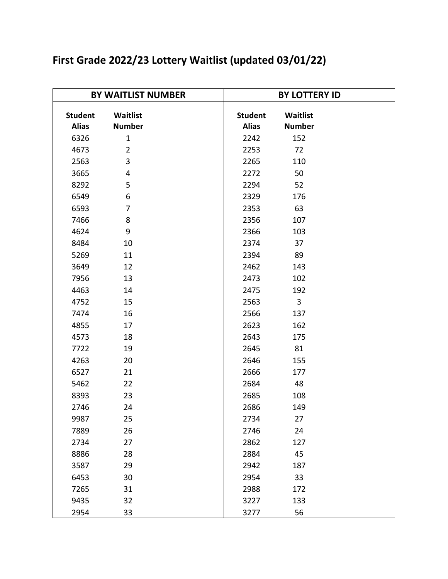| <b>BY WAITLIST NUMBER</b>      |                           |                                | <b>BY LOTTERY ID</b>      |  |  |
|--------------------------------|---------------------------|--------------------------------|---------------------------|--|--|
| <b>Student</b><br><b>Alias</b> | Waitlist<br><b>Number</b> | <b>Student</b><br><b>Alias</b> | Waitlist<br><b>Number</b> |  |  |
| 6326                           | $\mathbf{1}$              | 2242                           | 152                       |  |  |
| 4673                           | $\overline{2}$            | 2253                           | 72                        |  |  |
| 2563                           | 3                         | 2265                           | 110                       |  |  |
| 3665                           | 4                         | 2272                           | 50                        |  |  |
| 8292                           | 5                         | 2294                           | 52                        |  |  |
| 6549                           | 6                         | 2329                           | 176                       |  |  |
| 6593                           | 7                         | 2353                           | 63                        |  |  |
| 7466                           | 8                         | 2356                           | 107                       |  |  |
| 4624                           | 9                         | 2366                           | 103                       |  |  |
| 8484                           | 10                        | 2374                           | 37                        |  |  |
| 5269                           | 11                        | 2394                           | 89                        |  |  |
| 3649                           | 12                        | 2462                           | 143                       |  |  |
| 7956                           | 13                        | 2473                           | 102                       |  |  |
| 4463                           | 14                        | 2475                           | 192                       |  |  |
| 4752                           | 15                        | 2563                           | 3                         |  |  |
| 7474                           | 16                        | 2566                           | 137                       |  |  |
| 4855                           | 17                        | 2623                           | 162                       |  |  |
| 4573                           | 18                        | 2643                           | 175                       |  |  |
| 7722                           | 19                        | 2645                           | 81                        |  |  |
| 4263                           | 20                        | 2646                           | 155                       |  |  |
| 6527                           | 21                        | 2666                           | 177                       |  |  |
| 5462                           | 22                        | 2684                           | 48                        |  |  |
| 8393                           | 23                        | 2685                           | 108                       |  |  |
| 2746                           | 24                        | 2686                           | 149                       |  |  |
| 9987                           | 25                        | 2734                           | 27                        |  |  |
| 7889                           | 26                        | 2746                           | 24                        |  |  |
| 2734                           | 27                        | 2862                           | 127                       |  |  |
| 8886                           | 28                        | 2884                           | 45                        |  |  |
| 3587                           | 29                        | 2942                           | 187                       |  |  |
| 6453                           | 30                        | 2954                           | 33                        |  |  |
| 7265                           | 31                        | 2988                           | 172                       |  |  |
| 9435                           | 32                        | 3227                           | 133                       |  |  |
| 2954                           | 33                        | 3277                           | 56                        |  |  |

## **First Grade 2022/23 Lottery Waitlist (updated 03/01/22)**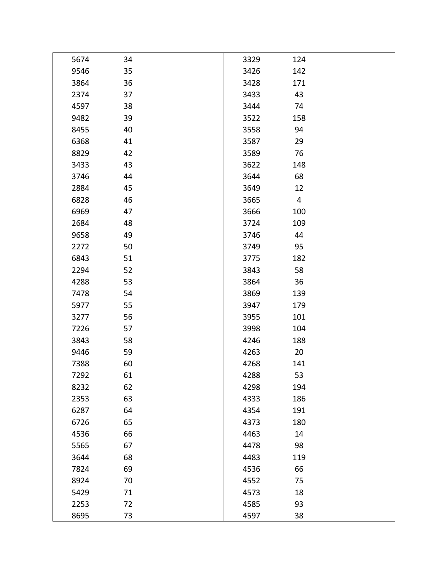| 5674 | 34 | 3329 | 124            |  |
|------|----|------|----------------|--|
| 9546 | 35 | 3426 | 142            |  |
| 3864 | 36 | 3428 | 171            |  |
| 2374 | 37 | 3433 | 43             |  |
| 4597 | 38 | 3444 | 74             |  |
| 9482 | 39 | 3522 | 158            |  |
| 8455 | 40 | 3558 | 94             |  |
| 6368 | 41 | 3587 | 29             |  |
| 8829 | 42 | 3589 | 76             |  |
| 3433 | 43 | 3622 | 148            |  |
| 3746 | 44 | 3644 | 68             |  |
| 2884 | 45 | 3649 | 12             |  |
| 6828 | 46 | 3665 | $\overline{4}$ |  |
| 6969 | 47 | 3666 | 100            |  |
| 2684 | 48 | 3724 | 109            |  |
| 9658 | 49 | 3746 | 44             |  |
| 2272 | 50 | 3749 | 95             |  |
| 6843 | 51 | 3775 | 182            |  |
| 2294 | 52 | 3843 | 58             |  |
| 4288 | 53 | 3864 | 36             |  |
| 7478 | 54 | 3869 | 139            |  |
| 5977 | 55 | 3947 | 179            |  |
| 3277 | 56 | 3955 | 101            |  |
| 7226 | 57 | 3998 | 104            |  |
| 3843 | 58 | 4246 | 188            |  |
| 9446 | 59 | 4263 | 20             |  |
| 7388 | 60 | 4268 | 141            |  |
| 7292 | 61 | 4288 | 53             |  |
| 8232 | 62 | 4298 | 194            |  |
| 2353 | 63 | 4333 | 186            |  |
| 6287 | 64 | 4354 | 191            |  |
| 6726 | 65 | 4373 | 180            |  |
| 4536 | 66 | 4463 | 14             |  |
| 5565 | 67 | 4478 | 98             |  |
| 3644 | 68 | 4483 | 119            |  |
| 7824 | 69 | 4536 | 66             |  |
| 8924 | 70 | 4552 | 75             |  |
| 5429 | 71 | 4573 | 18             |  |
| 2253 | 72 | 4585 | 93             |  |
| 8695 | 73 | 4597 | 38             |  |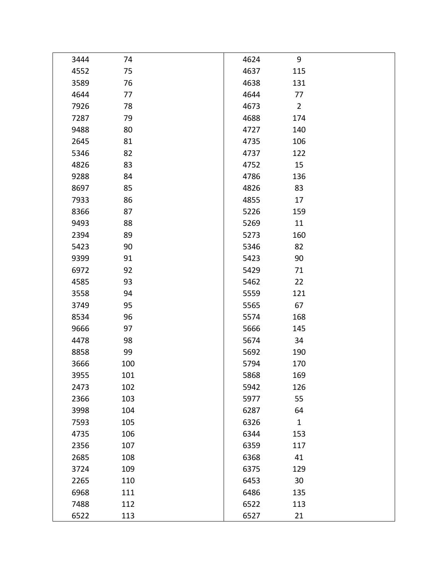| 3444 | 74  | 4624 | 9              |  |
|------|-----|------|----------------|--|
| 4552 | 75  | 4637 | 115            |  |
| 3589 | 76  | 4638 | 131            |  |
| 4644 | 77  | 4644 | 77             |  |
| 7926 | 78  | 4673 | $\overline{2}$ |  |
| 7287 | 79  | 4688 | 174            |  |
| 9488 | 80  | 4727 | 140            |  |
| 2645 | 81  | 4735 | 106            |  |
| 5346 | 82  | 4737 | 122            |  |
| 4826 | 83  | 4752 | 15             |  |
| 9288 | 84  | 4786 | 136            |  |
| 8697 | 85  | 4826 | 83             |  |
| 7933 | 86  | 4855 | 17             |  |
| 8366 | 87  | 5226 | 159            |  |
| 9493 | 88  | 5269 | 11             |  |
| 2394 | 89  | 5273 | 160            |  |
| 5423 | 90  | 5346 | 82             |  |
| 9399 | 91  | 5423 | 90             |  |
| 6972 | 92  | 5429 | 71             |  |
| 4585 | 93  | 5462 | 22             |  |
| 3558 | 94  | 5559 | 121            |  |
| 3749 | 95  | 5565 | 67             |  |
| 8534 | 96  | 5574 | 168            |  |
| 9666 | 97  | 5666 | 145            |  |
| 4478 | 98  | 5674 | 34             |  |
| 8858 | 99  | 5692 | 190            |  |
| 3666 | 100 | 5794 | 170            |  |
| 3955 | 101 | 5868 | 169            |  |
| 2473 | 102 | 5942 | 126            |  |
| 2366 | 103 | 5977 | 55             |  |
| 3998 | 104 | 6287 | 64             |  |
| 7593 | 105 | 6326 | $\mathbf{1}$   |  |
| 4735 | 106 | 6344 | 153            |  |
| 2356 | 107 | 6359 | 117            |  |
| 2685 | 108 | 6368 | 41             |  |
| 3724 | 109 | 6375 | 129            |  |
| 2265 | 110 | 6453 | 30             |  |
| 6968 | 111 | 6486 | 135            |  |
| 7488 | 112 | 6522 | 113            |  |
| 6522 | 113 | 6527 | 21             |  |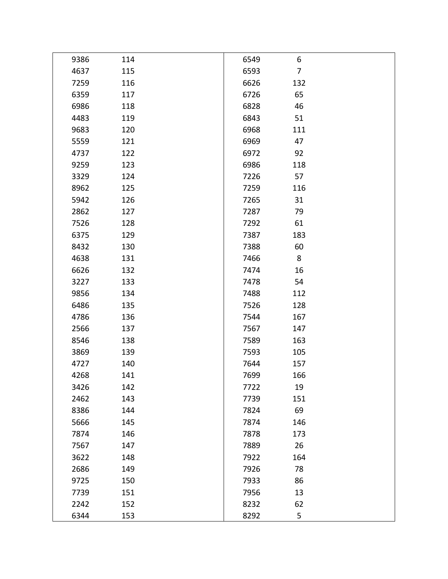| 9386 | 114 | 6549 | 6              |  |
|------|-----|------|----------------|--|
| 4637 | 115 | 6593 | $\overline{7}$ |  |
| 7259 | 116 | 6626 | 132            |  |
| 6359 | 117 | 6726 | 65             |  |
| 6986 | 118 | 6828 | 46             |  |
| 4483 | 119 | 6843 | 51             |  |
| 9683 | 120 | 6968 | 111            |  |
| 5559 | 121 | 6969 | 47             |  |
| 4737 | 122 | 6972 | 92             |  |
| 9259 | 123 | 6986 | 118            |  |
| 3329 | 124 | 7226 | 57             |  |
| 8962 | 125 | 7259 | 116            |  |
| 5942 | 126 | 7265 | 31             |  |
| 2862 | 127 | 7287 | 79             |  |
| 7526 | 128 | 7292 | 61             |  |
| 6375 | 129 | 7387 | 183            |  |
| 8432 | 130 | 7388 | 60             |  |
| 4638 | 131 | 7466 | 8              |  |
| 6626 | 132 | 7474 | 16             |  |
| 3227 | 133 | 7478 | 54             |  |
| 9856 | 134 | 7488 | 112            |  |
| 6486 | 135 | 7526 | 128            |  |
| 4786 | 136 | 7544 | 167            |  |
| 2566 | 137 | 7567 | 147            |  |
| 8546 | 138 | 7589 | 163            |  |
| 3869 | 139 | 7593 | 105            |  |
| 4727 | 140 | 7644 | 157            |  |
| 4268 | 141 | 7699 | 166            |  |
| 3426 | 142 | 7722 | 19             |  |
| 2462 | 143 | 7739 | 151            |  |
| 8386 | 144 | 7824 | 69             |  |
| 5666 | 145 | 7874 | 146            |  |
| 7874 | 146 | 7878 | 173            |  |
| 7567 | 147 | 7889 | 26             |  |
| 3622 | 148 | 7922 | 164            |  |
| 2686 | 149 | 7926 | 78             |  |
| 9725 | 150 | 7933 | 86             |  |
| 7739 | 151 | 7956 | 13             |  |
| 2242 | 152 | 8232 | 62             |  |
| 6344 | 153 | 8292 | 5              |  |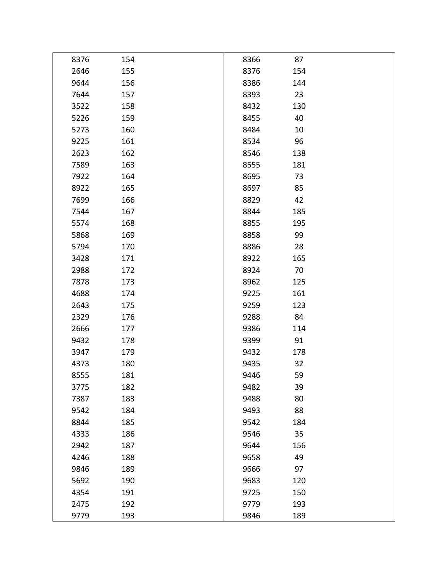| 8376 | 154 | 8366 | 87  |  |
|------|-----|------|-----|--|
| 2646 | 155 | 8376 | 154 |  |
| 9644 | 156 | 8386 | 144 |  |
| 7644 | 157 | 8393 | 23  |  |
| 3522 | 158 | 8432 | 130 |  |
| 5226 | 159 | 8455 | 40  |  |
| 5273 | 160 | 8484 | 10  |  |
| 9225 | 161 | 8534 | 96  |  |
| 2623 | 162 | 8546 | 138 |  |
| 7589 | 163 | 8555 | 181 |  |
| 7922 | 164 | 8695 | 73  |  |
| 8922 | 165 | 8697 | 85  |  |
| 7699 | 166 | 8829 | 42  |  |
| 7544 | 167 | 8844 | 185 |  |
| 5574 | 168 | 8855 | 195 |  |
| 5868 | 169 | 8858 | 99  |  |
| 5794 | 170 | 8886 | 28  |  |
| 3428 | 171 | 8922 | 165 |  |
| 2988 | 172 | 8924 | 70  |  |
| 7878 | 173 | 8962 | 125 |  |
| 4688 | 174 | 9225 | 161 |  |
| 2643 | 175 | 9259 | 123 |  |
| 2329 | 176 | 9288 | 84  |  |
| 2666 | 177 | 9386 | 114 |  |
| 9432 | 178 | 9399 | 91  |  |
| 3947 | 179 | 9432 | 178 |  |
| 4373 | 180 | 9435 | 32  |  |
| 8555 | 181 | 9446 | 59  |  |
| 3775 | 182 | 9482 | 39  |  |
| 7387 | 183 | 9488 | 80  |  |
| 9542 | 184 | 9493 | 88  |  |
| 8844 | 185 | 9542 | 184 |  |
| 4333 | 186 | 9546 | 35  |  |
| 2942 | 187 | 9644 | 156 |  |
| 4246 | 188 | 9658 | 49  |  |
| 9846 | 189 | 9666 | 97  |  |
| 5692 | 190 | 9683 | 120 |  |
| 4354 | 191 | 9725 | 150 |  |
| 2475 | 192 | 9779 | 193 |  |
| 9779 | 193 | 9846 | 189 |  |